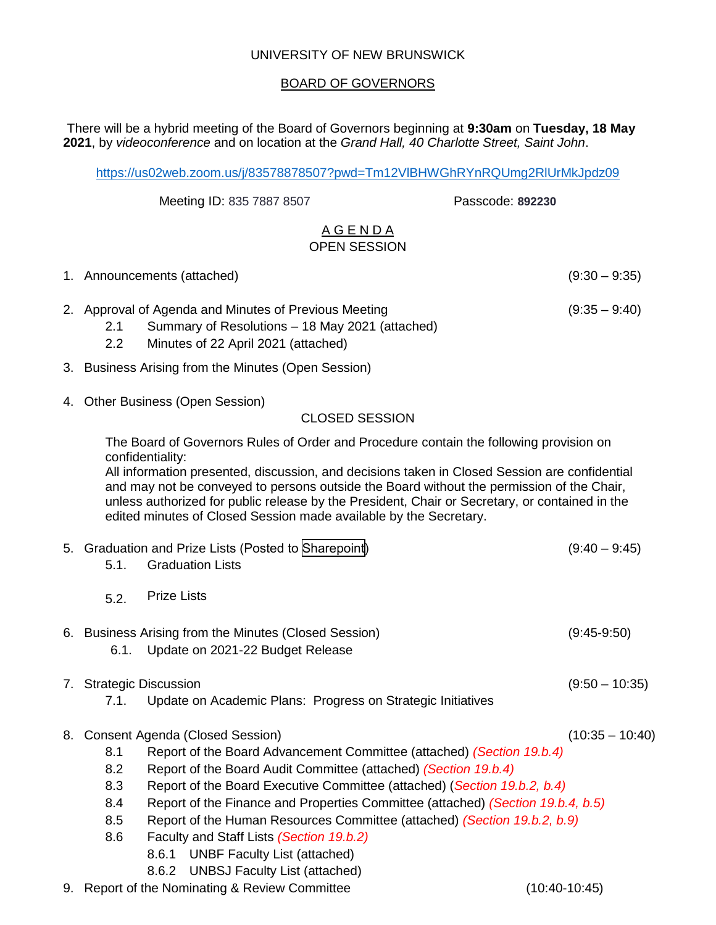### UNIVERSITY OF NEW BRUNSWICK

### BOARD OF GOVERNORS

There will be a hybrid meeting of the Board of Governors beginning at **9:30am** on **Tuesday, 18 May 2021**, by *videoconference* and on location at the *Grand Hall, 40 Charlotte Street, Saint John*.

<https://us02web.zoom.us/j/83578878507?pwd=Tm12VlBHWGhRYnRQUmg2RlUrMkJpdz09>

Meeting ID: 835 7887 8507 Passcode: **892230**

### A G E N D A OPEN SESSION

| 1. Announcements (attached) | $(9:30 - 9:35)$ |
|-----------------------------|-----------------|
|                             |                 |

- 2. Approval of Agenda and Minutes of Previous Meeting (9:35 9:40)
	- 2.1 Summary of Resolutions 18 May 2021 (attached)
	- 2.2 Minutes of 22 April 2021 (attached)
- 3. Business Arising from the Minutes (Open Session)
- 4. Other Business (Open Session)

### CLOSED SESSION

The Board of Governors Rules of Order and Procedure contain the following provision on confidentiality:

All information presented, discussion, and decisions taken in Closed Session are confidential and may not be conveyed to persons outside the Board without the permission of the Chair, unless authorized for public release by the President, Chair or Secretary, or contained in the edited minutes of Closed Session made available by the Secretary.

|    | 5.1.                                                                                   | 5. Graduation and Prize Lists (Posted to Sharepoint)<br><b>Graduation Lists</b>           | $(9:40 - 9:45)$   |  |  |
|----|----------------------------------------------------------------------------------------|-------------------------------------------------------------------------------------------|-------------------|--|--|
|    | 5.2.                                                                                   | <b>Prize Lists</b>                                                                        |                   |  |  |
|    | 6.1.                                                                                   | 6. Business Arising from the Minutes (Closed Session)<br>Update on 2021-22 Budget Release | $(9:45-9:50)$     |  |  |
| 7. |                                                                                        | <b>Strategic Discussion</b>                                                               | $(9:50 - 10:35)$  |  |  |
|    | 7.1.                                                                                   | Update on Academic Plans: Progress on Strategic Initiatives                               |                   |  |  |
| 8. |                                                                                        | <b>Consent Agenda (Closed Session)</b>                                                    | $(10:35 - 10:40)$ |  |  |
|    | 8.1<br>Report of the Board Advancement Committee (attached) (Section 19.b.4)           |                                                                                           |                   |  |  |
|    | 8.2<br>Report of the Board Audit Committee (attached) (Section 19.b.4)                 |                                                                                           |                   |  |  |
|    | 8.3<br>Report of the Board Executive Committee (attached) (Section 19.b.2, b.4)        |                                                                                           |                   |  |  |
|    | 8.4<br>Report of the Finance and Properties Committee (attached) (Section 19.b.4, b.5) |                                                                                           |                   |  |  |
|    | Report of the Human Resources Committee (attached) (Section 19.b.2, b.9)<br>8.5        |                                                                                           |                   |  |  |
|    | 8.6                                                                                    | Faculty and Staff Lists (Section 19.b.2)                                                  |                   |  |  |
|    |                                                                                        | 8.6.1 UNBF Faculty List (attached)                                                        |                   |  |  |
|    |                                                                                        | <b>UNBSJ Faculty List (attached)</b><br>8.6.2                                             |                   |  |  |
|    | 9. Report of the Nominating & Review Committee<br>(10:40-10:45)                        |                                                                                           |                   |  |  |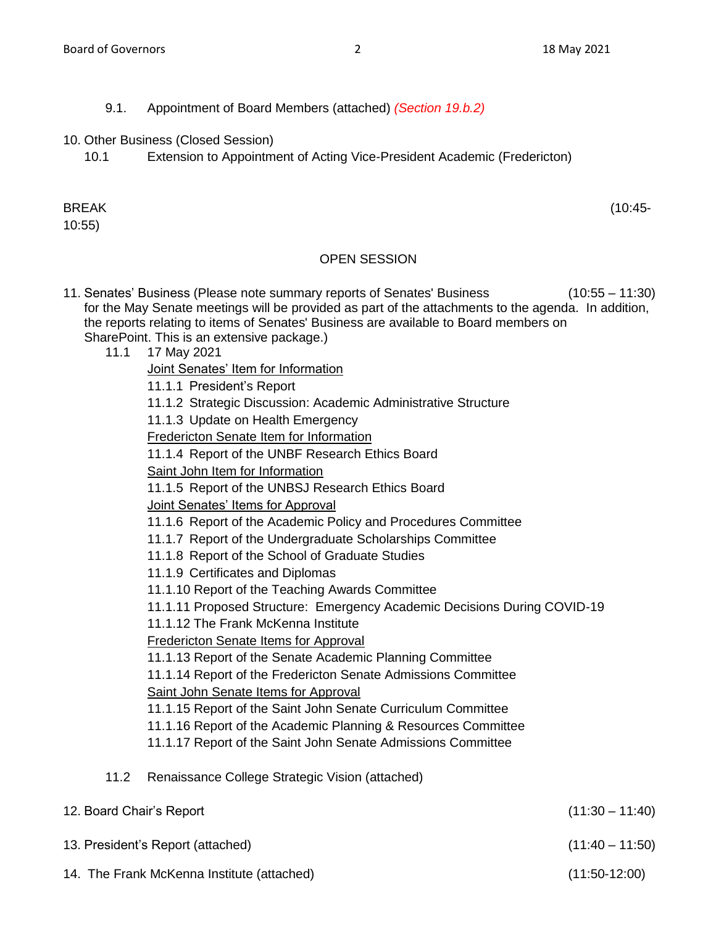- 9.1. Appointment of Board Members (attached) *(Section 19.b.2)*
- 10. Other Business (Closed Session)
	- 10.1 Extension to Appointment of Acting Vice-President Academic (Fredericton)

# BREAK (10:45-

10:55)

## OPEN SESSION

- 11. Senates' Business (Please note summary reports of Senates' Business (10:55 11:30) for the May Senate meetings will be provided as part of the attachments to the agenda. In addition, the reports relating to items of Senates' Business are available to Board members on SharePoint. This is an extensive package.)
	- 11.1 17 May 2021
		- Joint Senates' Item for Information
		- 11.1.1 President's Report
		- 11.1.2 Strategic Discussion: Academic Administrative Structure
		- 11.1.3 Update on Health Emergency
		- Fredericton Senate Item for Information
		- 11.1.4 Report of the UNBF Research Ethics Board
		- Saint John Item for Information
		- 11.1.5 Report of the UNBSJ Research Ethics Board
		- Joint Senates' Items for Approval
		- 11.1.6 Report of the Academic Policy and Procedures Committee
		- 11.1.7 Report of the Undergraduate Scholarships Committee
		- 11.1.8 Report of the School of Graduate Studies
		- 11.1.9 Certificates and Diplomas
		- 11.1.10 Report of the Teaching Awards Committee
		- 11.1.11 Proposed Structure: Emergency Academic Decisions During COVID-19
		- 11.1.12 The Frank McKenna Institute

Fredericton Senate Items for Approval

- 11.1.13 Report of the Senate Academic Planning Committee
- 11.1.14 Report of the Fredericton Senate Admissions Committee
- Saint John Senate Items for Approval
- 11.1.15 Report of the Saint John Senate Curriculum Committee
- 11.1.16 Report of the Academic Planning & Resources Committee
- 11.1.17 Report of the Saint John Senate Admissions Committee

## 11.2 Renaissance College Strategic Vision (attached)

| 12. Board Chair's Report                   | $(11:30 - 11:40)$ |
|--------------------------------------------|-------------------|
| 13. President's Report (attached)          | $(11:40 - 11:50)$ |
| 14. The Frank McKenna Institute (attached) | $(11:50-12:00)$   |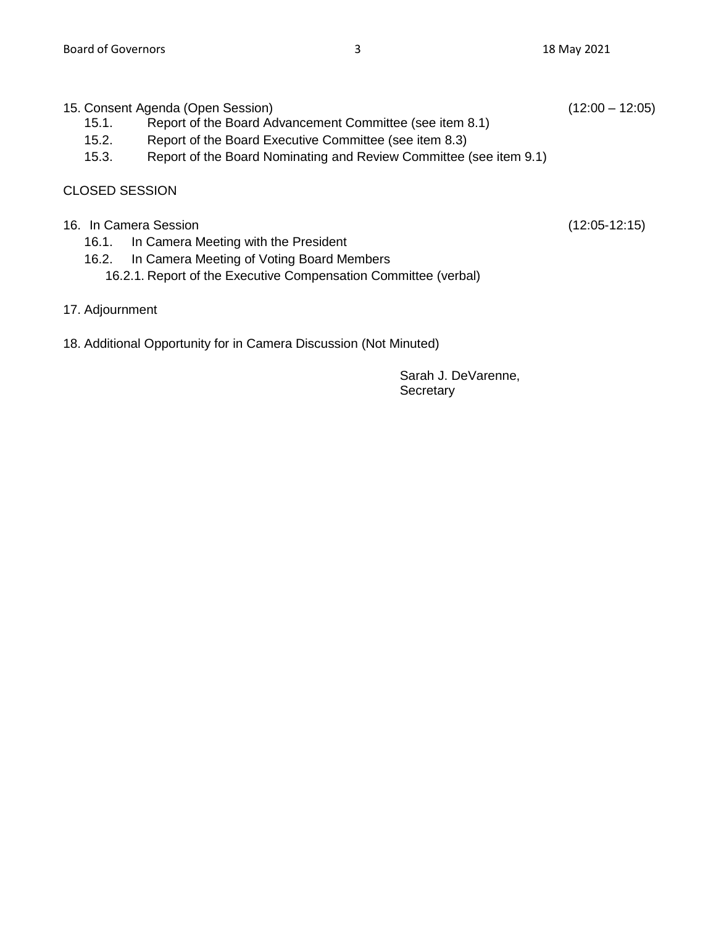| 15. Consent Agenda (Open Session) |  |  | $(12:00 - 12:05)$ |
|-----------------------------------|--|--|-------------------|
|                                   |  |  |                   |

- 15.1. Report of the Board Advancement Committee (see item 8.1)
- 15.2. Report of the Board Executive Committee (see item 8.3)
- 15.3. Report of the Board Nominating and Review Committee (see item 9.1)

### CLOSED SESSION

- 16. In Camera Session (12:05-12:15)
	- 16.1. In Camera Meeting with the President
	- 16.2. In Camera Meeting of Voting Board Members
		- 16.2.1. Report of the Executive Compensation Committee (verbal)
- 17. Adjournment
- 18. Additional Opportunity for in Camera Discussion (Not Minuted)

Sarah J. DeVarenne, **Secretary**